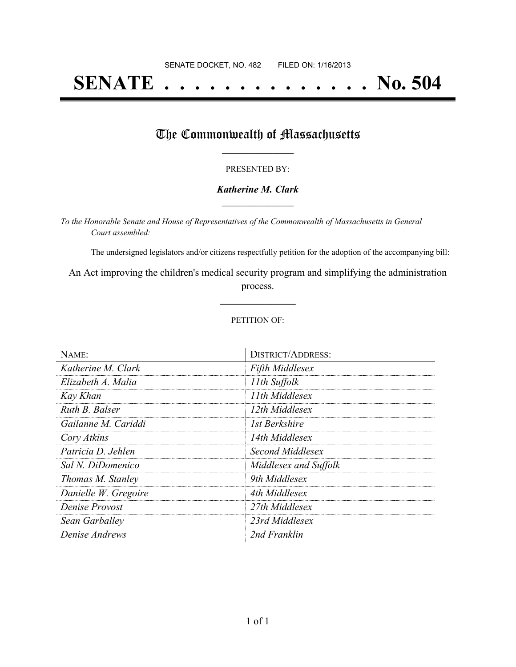# **SENATE . . . . . . . . . . . . . . No. 504**

## The Commonwealth of Massachusetts

#### PRESENTED BY:

#### *Katherine M. Clark* **\_\_\_\_\_\_\_\_\_\_\_\_\_\_\_\_\_**

*To the Honorable Senate and House of Representatives of the Commonwealth of Massachusetts in General Court assembled:*

The undersigned legislators and/or citizens respectfully petition for the adoption of the accompanying bill:

An Act improving the children's medical security program and simplifying the administration process.

**\_\_\_\_\_\_\_\_\_\_\_\_\_\_\_**

#### PETITION OF:

| NAME:                | <b>DISTRICT/ADDRESS:</b> |
|----------------------|--------------------------|
| Katherine M. Clark   | <b>Fifth Middlesex</b>   |
| Elizabeth A. Malia   | 11th Suffolk             |
| Kay Khan             | 11th Middlesex           |
| Ruth B. Balser       | 12th Middlesex           |
| Gailanne M. Cariddi  | 1st Berkshire            |
| Cory Atkins          | 14th Middlesex           |
| Patricia D. Jehlen   | Second Middlesex         |
| Sal N. DiDomenico    | Middlesex and Suffolk    |
| Thomas M. Stanley    | 9th Middlesex            |
| Danielle W. Gregoire | 4th Middlesex            |
| Denise Provost       | 27th Middlesex           |
| Sean Garballey       | 23rd Middlesex           |
| Denise Andrews       | 2nd Franklin             |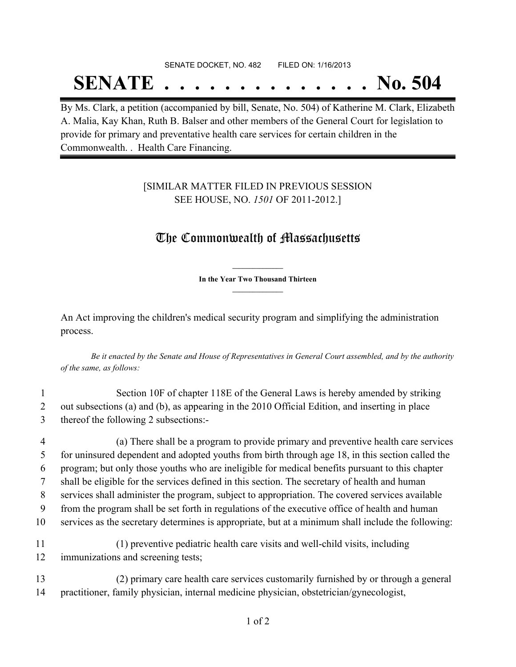# SENATE DOCKET, NO. 482 FILED ON: 1/16/2013 **SENATE . . . . . . . . . . . . . . No. 504**

By Ms. Clark, a petition (accompanied by bill, Senate, No. 504) of Katherine M. Clark, Elizabeth A. Malia, Kay Khan, Ruth B. Balser and other members of the General Court for legislation to provide for primary and preventative health care services for certain children in the Commonwealth. . Health Care Financing.

### [SIMILAR MATTER FILED IN PREVIOUS SESSION SEE HOUSE, NO. *1501* OF 2011-2012.]

## The Commonwealth of Massachusetts

**\_\_\_\_\_\_\_\_\_\_\_\_\_\_\_ In the Year Two Thousand Thirteen \_\_\_\_\_\_\_\_\_\_\_\_\_\_\_**

An Act improving the children's medical security program and simplifying the administration process.

Be it enacted by the Senate and House of Representatives in General Court assembled, and by the authority *of the same, as follows:*

1 Section 10F of chapter 118E of the General Laws is hereby amended by striking 2 out subsections (a) and (b), as appearing in the 2010 Official Edition, and inserting in place 3 thereof the following 2 subsections:-

4 (a) There shall be a program to provide primary and preventive health care services for uninsured dependent and adopted youths from birth through age 18, in this section called the program; but only those youths who are ineligible for medical benefits pursuant to this chapter shall be eligible for the services defined in this section. The secretary of health and human services shall administer the program, subject to appropriation. The covered services available from the program shall be set forth in regulations of the executive office of health and human services as the secretary determines is appropriate, but at a minimum shall include the following: 11 (1) preventive pediatric health care visits and well-child visits, including immunizations and screening tests;

13 (2) primary care health care services customarily furnished by or through a general 14 practitioner, family physician, internal medicine physician, obstetrician/gynecologist,